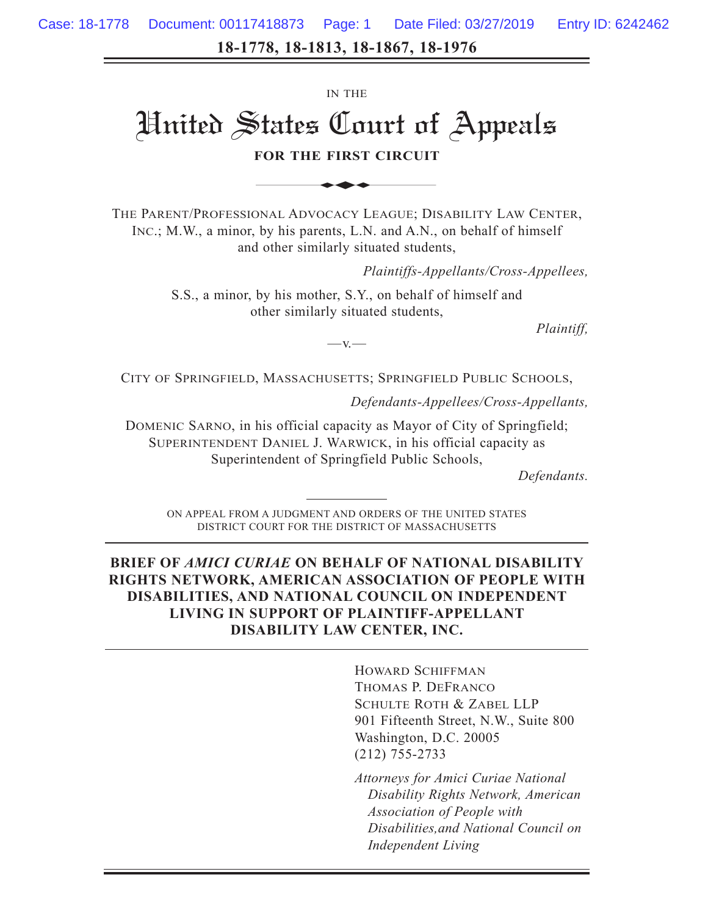**18-1778, 18-1813, 18-1867, 18-1976**

United States Court of Appeals A TO-1813, 18-1807, 18

IN THE

#### **FOR THE FIRST CIRCUIT**

THE PARENT/PROFESSIONAL ADVOCACY LEAGUE; DISABILITY LAW CENTER, INC.; M.W., a minor, by his parents, L.N. and A.N., on behalf of himself and other similarly situated students,

*Plaintiffs-Appellants/Cross-Appellees,*

S.S., a minor, by his mother, S.Y., on behalf of himself and other similarly situated students,

*Plaintiff,*

 $-v.$ 

CITY OF SPRINGFIELD, MASSACHUSETTS; SPRINGFIELD PUBLIC SCHOOLS,

*Defendants-Appellees/Cross-Appellants,*

DOMENIC SARNO, in his official capacity as Mayor of City of Springfield; SUPERINTENDENT DANIEL J. WARWICK, in his official capacity as Superintendent of Springfield Public Schools,

*Defendants.*

ON APPEAL FROM A JUDGMENT AND ORDERS OF THE UNITED STATES DISTRICT COURT FOR THE DISTRICT OF MASSACHUSETTS

#### **BRIEF OF** *AMICI CURIAE* **ON BEHALF OF NATIONAL DISABILITY RIGHTS NETWORK, AMERICAN ASSOCIATION OF PEOPLE WITH DISABILITIES, AND NATIONAL COUNCIL ON INDEPENDENT LIVING IN SUPPORT OF PLAINTIFF-APPELLANT DISABILITY LAW CENTER, INC.**

HOWARD SCHIFFMAN THOMAS P. DEFRANCO SCHULTE ROTH & ZABEL LLP 901 Fifteenth Street, N.W., Suite 800 Washington, D.C. 20005 (212) 755-2733

*Attorneys for Amici Curiae National Disability Rights Network, American Association of People with Disabilities,and National Council on Independent Living*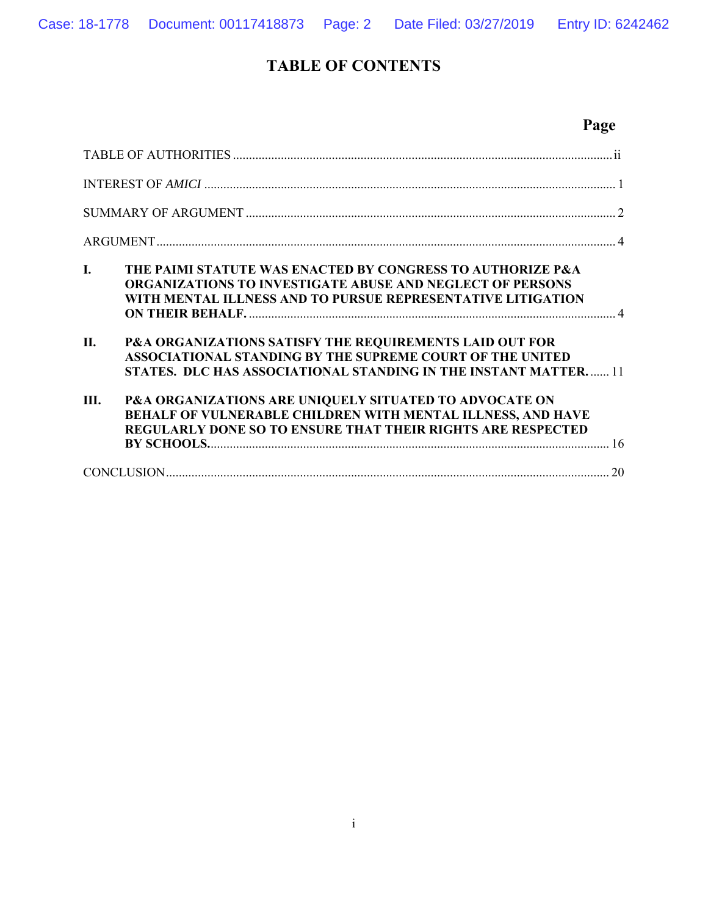# **TABLE OF CONTENTS**

# **Page**

| $\mathbf{I}$ .<br>THE PAIMI STATUTE WAS ENACTED BY CONGRESS TO AUTHORIZE P&A<br>ORGANIZATIONS TO INVESTIGATE ABUSE AND NEGLECT OF PERSONS<br>WITH MENTAL ILLNESS AND TO PURSUE REPRESENTATIVE LITIGATION         |
|------------------------------------------------------------------------------------------------------------------------------------------------------------------------------------------------------------------|
| II.<br><b>P&amp;A ORGANIZATIONS SATISFY THE REQUIREMENTS LAID OUT FOR</b><br><b>ASSOCIATIONAL STANDING BY THE SUPREME COURT OF THE UNITED</b><br>STATES. DLC HAS ASSOCIATIONAL STANDING IN THE INSTANT MATTER 11 |
| Ш.<br><b>P&amp;A ORGANIZATIONS ARE UNIQUELY SITUATED TO ADVOCATE ON</b><br>BEHALF OF VULNERABLE CHILDREN WITH MENTAL ILLNESS, AND HAVE<br>REGULARLY DONE SO TO ENSURE THAT THEIR RIGHTS ARE RESPECTED            |
|                                                                                                                                                                                                                  |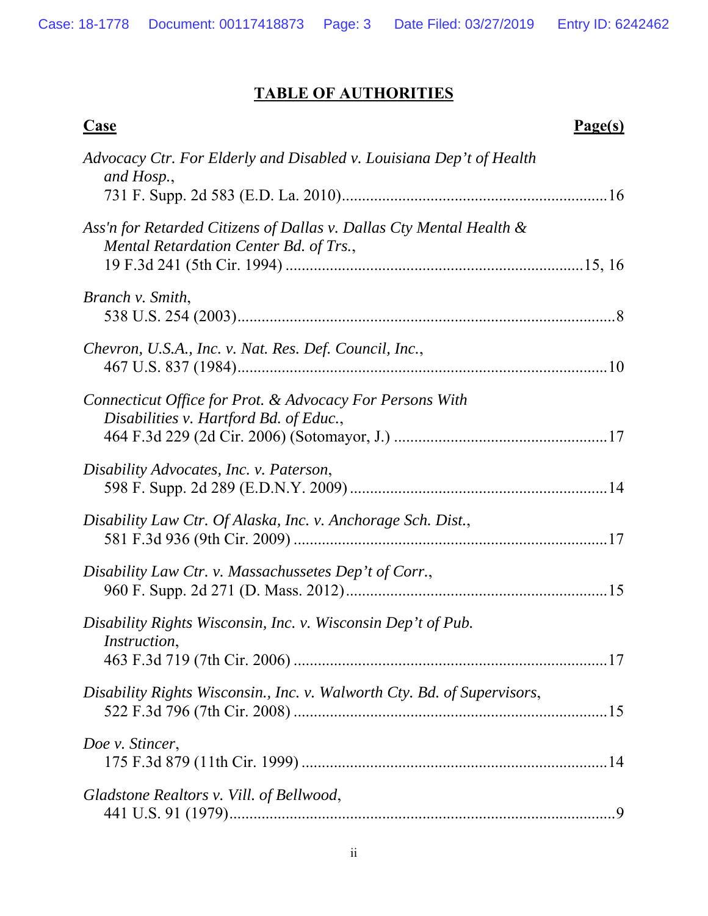# **TABLE OF AUTHORITIES**

| <b>Case</b><br>Page(s)                                                                                        |
|---------------------------------------------------------------------------------------------------------------|
| Advocacy Ctr. For Elderly and Disabled v. Louisiana Dep't of Health<br>and Hosp.,                             |
| Ass'n for Retarded Citizens of Dallas v. Dallas Cty Mental Health &<br>Mental Retardation Center Bd. of Trs., |
| Branch v. Smith,                                                                                              |
| Chevron, U.S.A., Inc. v. Nat. Res. Def. Council, Inc.,                                                        |
| Connecticut Office for Prot. & Advocacy For Persons With<br>Disabilities v. Hartford Bd. of Educ.,            |
| Disability Advocates, Inc. v. Paterson,                                                                       |
| Disability Law Ctr. Of Alaska, Inc. v. Anchorage Sch. Dist.,                                                  |
| Disability Law Ctr. v. Massachussetes Dep't of Corr.,                                                         |
| Disability Rights Wisconsin, Inc. v. Wisconsin Dep't of Pub.<br><i>Instruction,</i>                           |
| Disability Rights Wisconsin., Inc. v. Walworth Cty. Bd. of Supervisors,                                       |
| Doe v. Stincer,                                                                                               |
| Gladstone Realtors v. Vill. of Bellwood,                                                                      |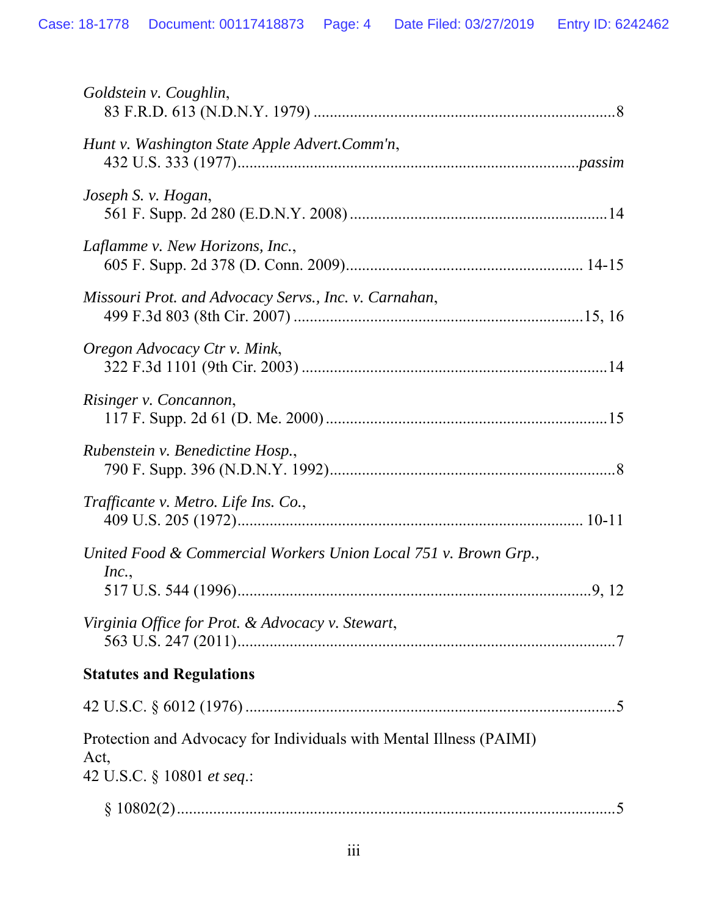| Goldstein v. Coughlin,                                                                                    |
|-----------------------------------------------------------------------------------------------------------|
| Hunt v. Washington State Apple Advert.Comm'n,                                                             |
| Joseph S. v. Hogan,                                                                                       |
| Laflamme v. New Horizons, Inc.,                                                                           |
| Missouri Prot. and Advocacy Servs., Inc. v. Carnahan,                                                     |
| Oregon Advocacy Ctr v. Mink,                                                                              |
| Risinger v. Concannon,                                                                                    |
| Rubenstein v. Benedictine Hosp.,                                                                          |
| Trafficante v. Metro. Life Ins. Co.,                                                                      |
| United Food & Commercial Workers Union Local 751 v. Brown Grp.,<br>Inc.,                                  |
| Virginia Office for Prot. & Advocacy v. Stewart,                                                          |
| <b>Statutes and Regulations</b>                                                                           |
|                                                                                                           |
| Protection and Advocacy for Individuals with Mental Illness (PAIMI)<br>Act,<br>42 U.S.C. § 10801 et seq.: |
|                                                                                                           |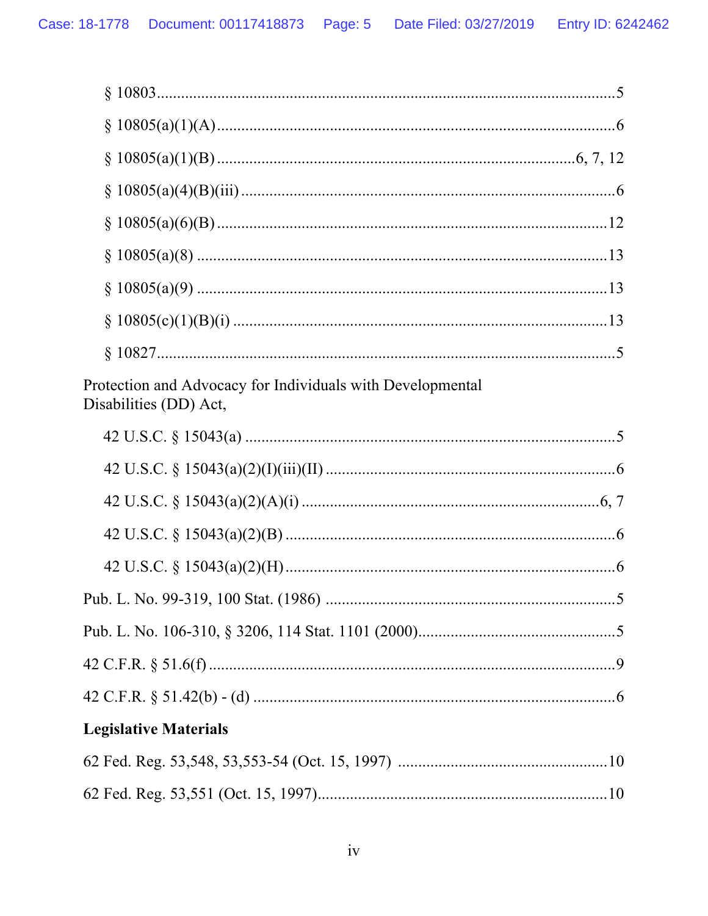| Protection and Advocacy for Individuals with Developmental<br>Disabilities (DD) Act, |  |
|--------------------------------------------------------------------------------------|--|
|                                                                                      |  |
|                                                                                      |  |
|                                                                                      |  |
|                                                                                      |  |
|                                                                                      |  |
|                                                                                      |  |
|                                                                                      |  |
|                                                                                      |  |
|                                                                                      |  |
| <b>Legislative Materials</b>                                                         |  |
|                                                                                      |  |
|                                                                                      |  |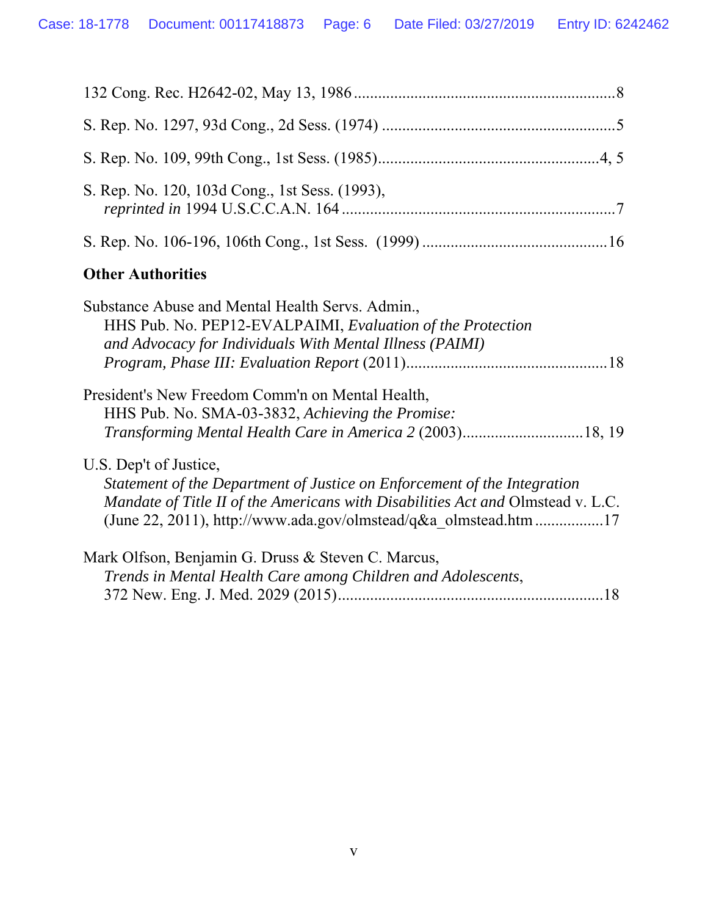| S. Rep. No. 120, 103d Cong., 1st Sess. (1993), |  |
|------------------------------------------------|--|
|                                                |  |
| <b>Other Authorities</b>                       |  |
| $C_1$ 1 1 1 1 1 1 $C_2$ 1 1 $C_3$              |  |

| Substance Abuse and Mental Health Servs. Admin.,                                |
|---------------------------------------------------------------------------------|
| HHS Pub. No. PEP12-EVALPAIMI, Evaluation of the Protection                      |
| and Advocacy for Individuals With Mental Illness (PAIMI)                        |
|                                                                                 |
| President's New Freedom Comm'n on Mental Health,                                |
| HHS Pub. No. SMA-03-3832, Achieving the Promise:                                |
|                                                                                 |
| U.S. Dep't of Justice,                                                          |
| Statement of the Department of Justice on Enforcement of the Integration        |
| Mandate of Title II of the Americans with Disabilities Act and Olmstead v. L.C. |
|                                                                                 |
| Mark Olfson, Benjamin G. Druss & Steven C. Marcus,                              |
| Trends in Mental Health Care among Children and Adolescents,                    |

372 New. Eng. J. Med. 2029 (2015) ..................................................................18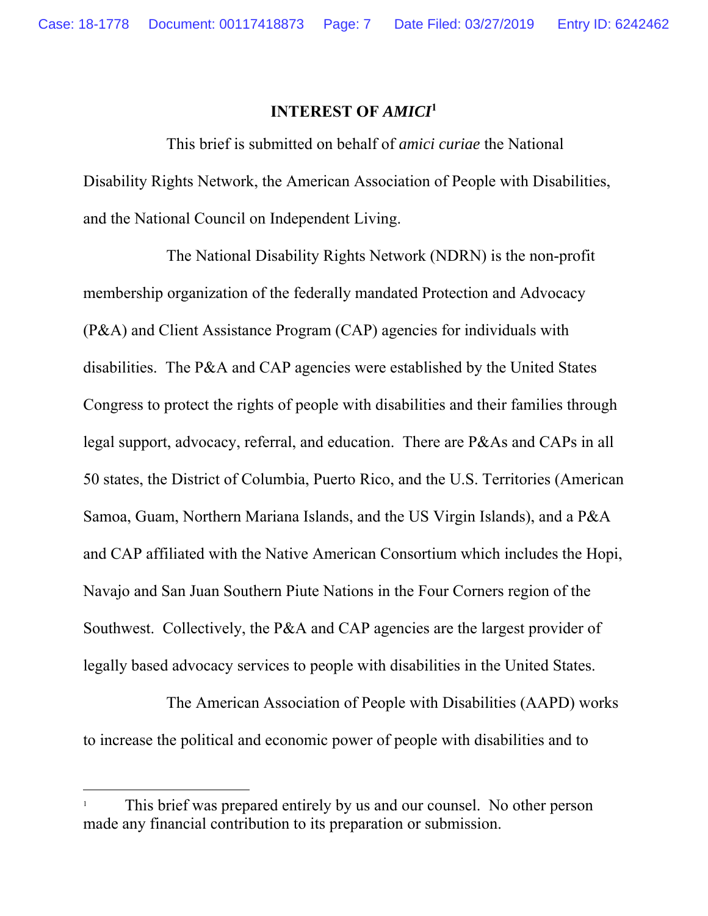#### **INTEREST OF** *AMICI***<sup>1</sup>**

This brief is submitted on behalf of *amici curiae* the National Disability Rights Network, the American Association of People with Disabilities, and the National Council on Independent Living.

The National Disability Rights Network (NDRN) is the non-profit membership organization of the federally mandated Protection and Advocacy (P&A) and Client Assistance Program (CAP) agencies for individuals with disabilities. The P&A and CAP agencies were established by the United States Congress to protect the rights of people with disabilities and their families through legal support, advocacy, referral, and education. There are P&As and CAPs in all 50 states, the District of Columbia, Puerto Rico, and the U.S. Territories (American Samoa, Guam, Northern Mariana Islands, and the US Virgin Islands), and a P&A and CAP affiliated with the Native American Consortium which includes the Hopi, Navajo and San Juan Southern Piute Nations in the Four Corners region of the Southwest. Collectively, the P&A and CAP agencies are the largest provider of legally based advocacy services to people with disabilities in the United States.

The American Association of People with Disabilities (AAPD) works to increase the political and economic power of people with disabilities and to

 $\overline{\phantom{a}}$ 

<sup>1</sup> This brief was prepared entirely by us and our counsel. No other person made any financial contribution to its preparation or submission.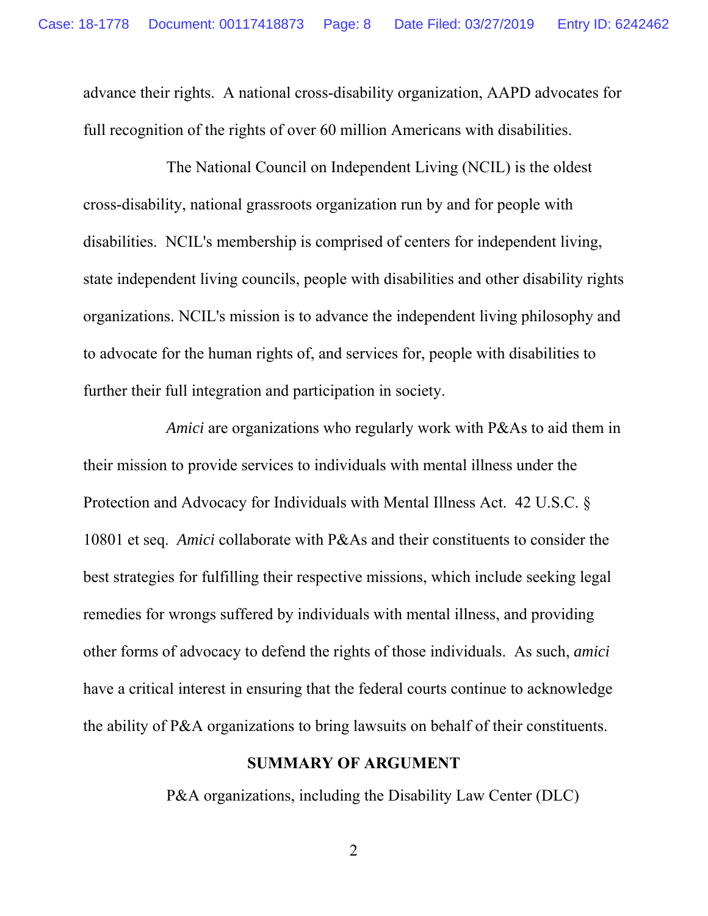advance their rights. A national cross-disability organization, AAPD advocates for full recognition of the rights of over 60 million Americans with disabilities.

The National Council on Independent Living (NCIL) is the oldest cross-disability, national grassroots organization run by and for people with disabilities. NCIL's membership is comprised of centers for independent living, state independent living councils, people with disabilities and other disability rights organizations. NCIL's mission is to advance the independent living philosophy and to advocate for the human rights of, and services for, people with disabilities to further their full integration and participation in society.

*Amici* are organizations who regularly work with P&As to aid them in their mission to provide services to individuals with mental illness under the Protection and Advocacy for Individuals with Mental Illness Act. 42 U.S.C. § 10801 et seq. *Amici* collaborate with P&As and their constituents to consider the best strategies for fulfilling their respective missions, which include seeking legal remedies for wrongs suffered by individuals with mental illness, and providing other forms of advocacy to defend the rights of those individuals. As such, *amici* have a critical interest in ensuring that the federal courts continue to acknowledge the ability of P&A organizations to bring lawsuits on behalf of their constituents.

#### **SUMMARY OF ARGUMENT**

P&A organizations, including the Disability Law Center (DLC)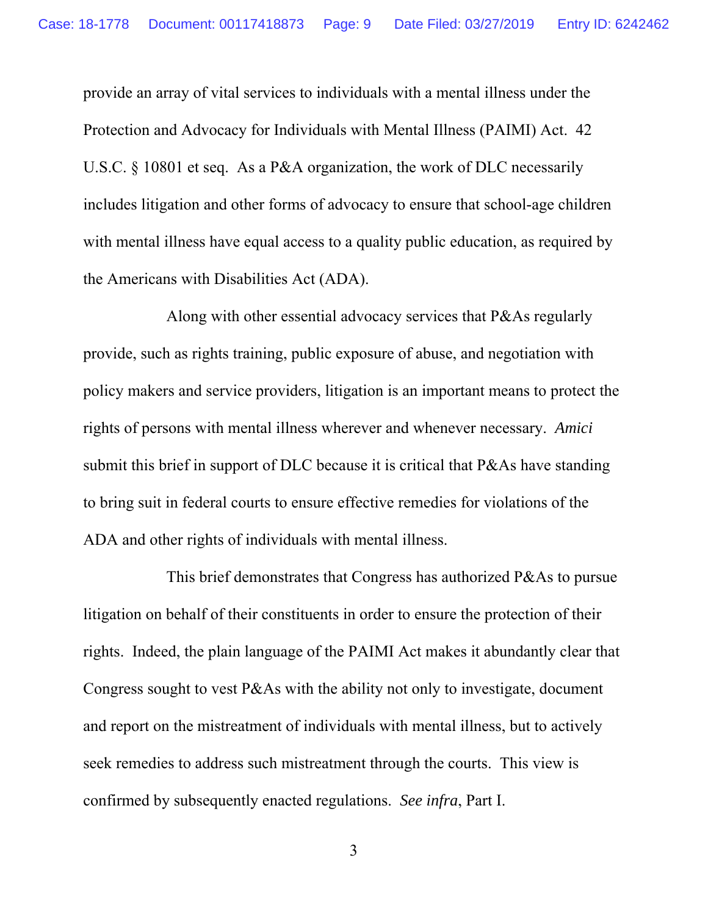provide an array of vital services to individuals with a mental illness under the Protection and Advocacy for Individuals with Mental Illness (PAIMI) Act. 42 U.S.C. § 10801 et seq. As a P&A organization, the work of DLC necessarily includes litigation and other forms of advocacy to ensure that school-age children with mental illness have equal access to a quality public education, as required by the Americans with Disabilities Act (ADA).

Along with other essential advocacy services that P&As regularly provide, such as rights training, public exposure of abuse, and negotiation with policy makers and service providers, litigation is an important means to protect the rights of persons with mental illness wherever and whenever necessary. *Amici* submit this brief in support of DLC because it is critical that P&As have standing to bring suit in federal courts to ensure effective remedies for violations of the ADA and other rights of individuals with mental illness.

This brief demonstrates that Congress has authorized P&As to pursue litigation on behalf of their constituents in order to ensure the protection of their rights. Indeed, the plain language of the PAIMI Act makes it abundantly clear that Congress sought to vest P&As with the ability not only to investigate, document and report on the mistreatment of individuals with mental illness, but to actively seek remedies to address such mistreatment through the courts. This view is confirmed by subsequently enacted regulations. *See infra*, Part I.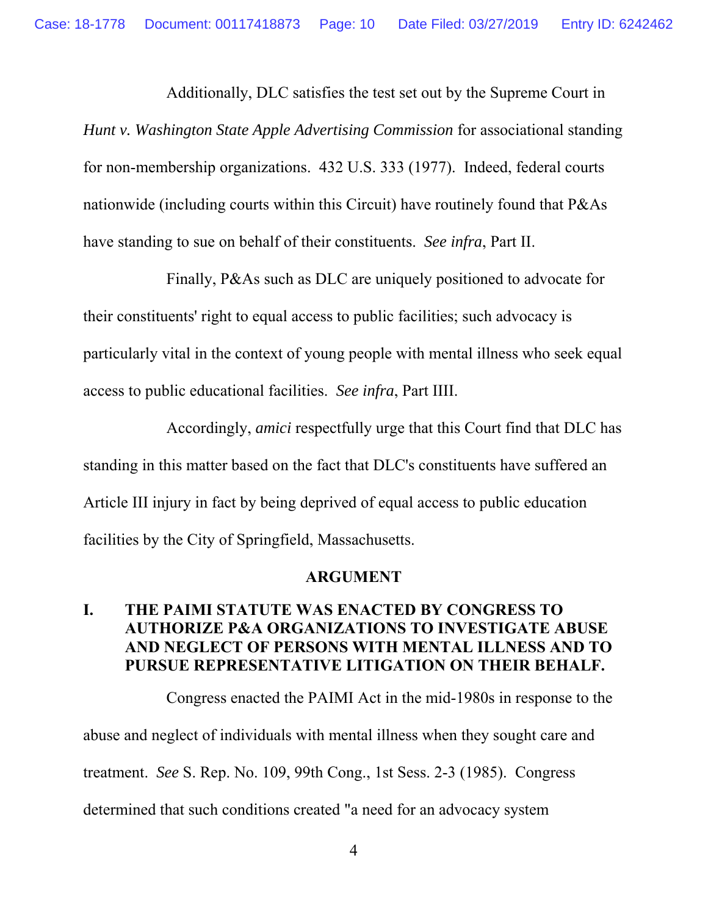Additionally, DLC satisfies the test set out by the Supreme Court in *Hunt v. Washington State Apple Advertising Commission* for associational standing for non-membership organizations. 432 U.S. 333 (1977). Indeed, federal courts nationwide (including courts within this Circuit) have routinely found that P&As have standing to sue on behalf of their constituents. *See infra*, Part II.

Finally, P&As such as DLC are uniquely positioned to advocate for their constituents' right to equal access to public facilities; such advocacy is particularly vital in the context of young people with mental illness who seek equal access to public educational facilities. *See infra*, Part IIII.

Accordingly, *amici* respectfully urge that this Court find that DLC has standing in this matter based on the fact that DLC's constituents have suffered an Article III injury in fact by being deprived of equal access to public education facilities by the City of Springfield, Massachusetts.

#### **ARGUMENT**

## **I. THE PAIMI STATUTE WAS ENACTED BY CONGRESS TO AUTHORIZE P&A ORGANIZATIONS TO INVESTIGATE ABUSE AND NEGLECT OF PERSONS WITH MENTAL ILLNESS AND TO PURSUE REPRESENTATIVE LITIGATION ON THEIR BEHALF.**

Congress enacted the PAIMI Act in the mid-1980s in response to the abuse and neglect of individuals with mental illness when they sought care and treatment. *See* S. Rep. No. 109, 99th Cong., 1st Sess. 2-3 (1985). Congress determined that such conditions created "a need for an advocacy system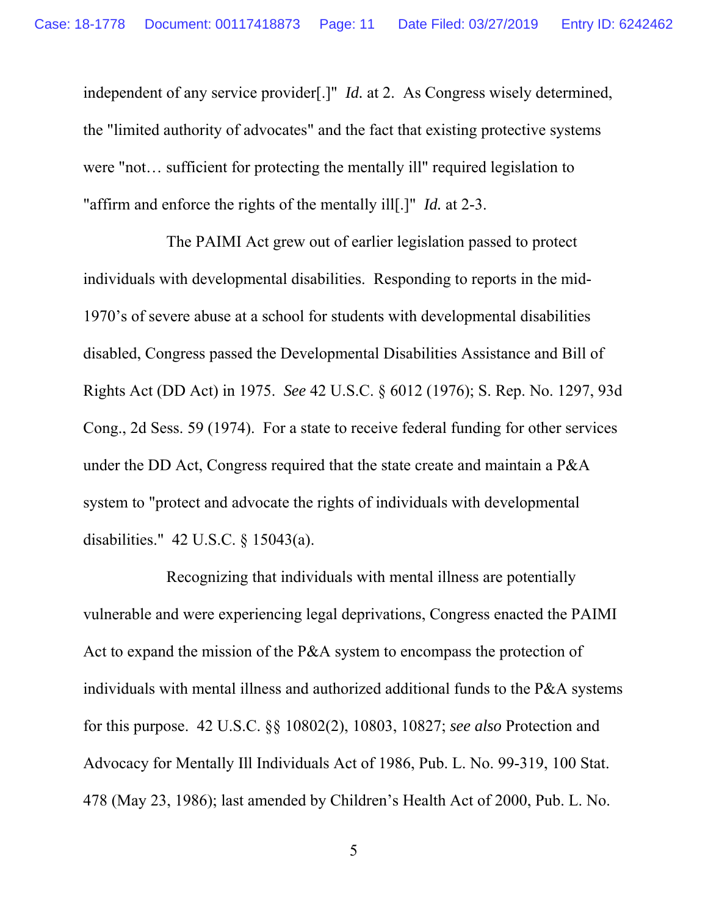independent of any service provider[.]" *Id.* at 2. As Congress wisely determined, the "limited authority of advocates" and the fact that existing protective systems were "not… sufficient for protecting the mentally ill" required legislation to "affirm and enforce the rights of the mentally ill[.]" *Id.* at 2-3.

The PAIMI Act grew out of earlier legislation passed to protect individuals with developmental disabilities. Responding to reports in the mid-1970's of severe abuse at a school for students with developmental disabilities disabled, Congress passed the Developmental Disabilities Assistance and Bill of Rights Act (DD Act) in 1975. *See* 42 U.S.C. § 6012 (1976); S. Rep. No. 1297, 93d Cong., 2d Sess. 59 (1974). For a state to receive federal funding for other services under the DD Act, Congress required that the state create and maintain a P&A system to "protect and advocate the rights of individuals with developmental disabilities." 42 U.S.C. § 15043(a).

Recognizing that individuals with mental illness are potentially vulnerable and were experiencing legal deprivations, Congress enacted the PAIMI Act to expand the mission of the P&A system to encompass the protection of individuals with mental illness and authorized additional funds to the P&A systems for this purpose. 42 U.S.C. §§ 10802(2), 10803, 10827; *see also* Protection and Advocacy for Mentally Ill Individuals Act of 1986, Pub. L. No. 99-319, 100 Stat. 478 (May 23, 1986); last amended by Children's Health Act of 2000, Pub. L. No.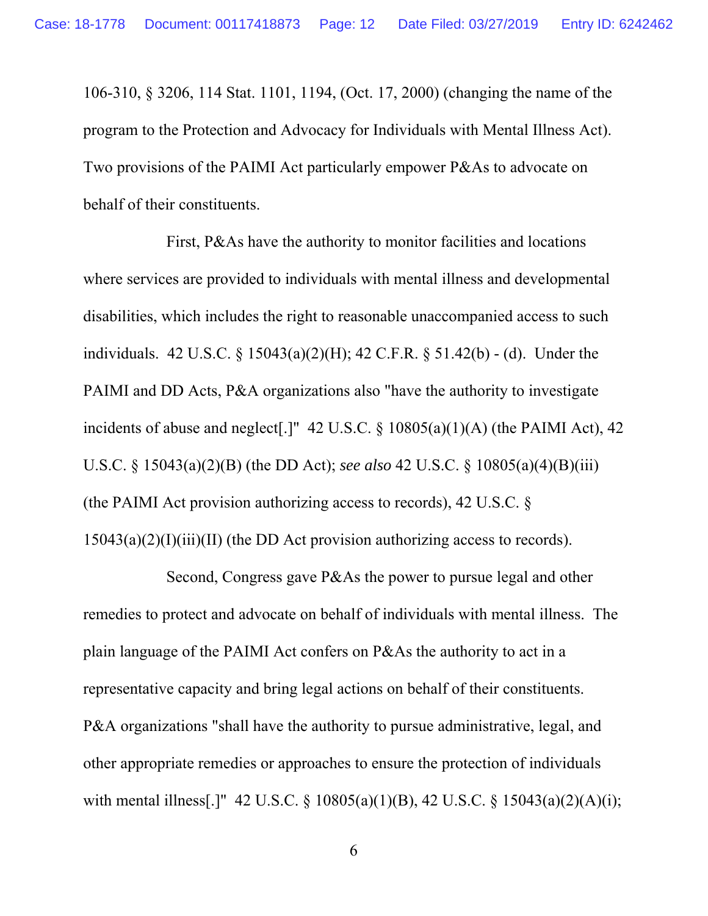106-310, § 3206, 114 Stat. 1101, 1194, (Oct. 17, 2000) (changing the name of the program to the Protection and Advocacy for Individuals with Mental Illness Act). Two provisions of the PAIMI Act particularly empower P&As to advocate on behalf of their constituents.

First, P&As have the authority to monitor facilities and locations where services are provided to individuals with mental illness and developmental disabilities, which includes the right to reasonable unaccompanied access to such individuals. 42 U.S.C. § 15043(a)(2)(H); 42 C.F.R. § 51.42(b) - (d). Under the PAIMI and DD Acts, P&A organizations also "have the authority to investigate incidents of abuse and neglect[.]"  $42$  U.S.C. §  $10805(a)(1)(A)$  (the PAIMI Act), 42 U.S.C. § 15043(a)(2)(B) (the DD Act); *see also* 42 U.S.C. § 10805(a)(4)(B)(iii) (the PAIMI Act provision authorizing access to records), 42 U.S.C.  $\S$  $15043(a)(2)(I)(iii)(II)$  (the DD Act provision authorizing access to records).

Second, Congress gave P&As the power to pursue legal and other remedies to protect and advocate on behalf of individuals with mental illness. The plain language of the PAIMI Act confers on P&As the authority to act in a representative capacity and bring legal actions on behalf of their constituents. P&A organizations "shall have the authority to pursue administrative, legal, and other appropriate remedies or approaches to ensure the protection of individuals with mental illness[.]" 42 U.S.C. § 10805(a)(1)(B), 42 U.S.C. § 15043(a)(2)(A)(i);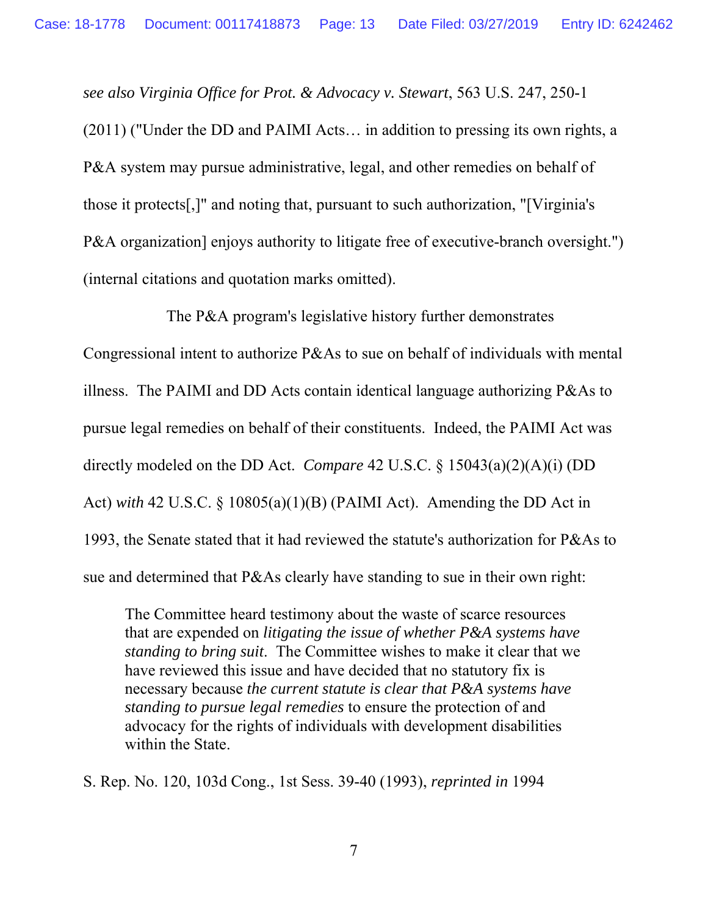*see also Virginia Office for Prot. & Advocacy v. Stewart*, 563 U.S. 247, 250-1

(2011) ("Under the DD and PAIMI Acts… in addition to pressing its own rights, a P&A system may pursue administrative, legal, and other remedies on behalf of those it protects[,]" and noting that, pursuant to such authorization, "[Virginia's P&A organization] enjoys authority to litigate free of executive-branch oversight.") (internal citations and quotation marks omitted).

The P&A program's legislative history further demonstrates Congressional intent to authorize P&As to sue on behalf of individuals with mental illness. The PAIMI and DD Acts contain identical language authorizing P&As to pursue legal remedies on behalf of their constituents. Indeed, the PAIMI Act was directly modeled on the DD Act. *Compare* 42 U.S.C. § 15043(a)(2)(A)(i) (DD Act) *with* 42 U.S.C. § 10805(a)(1)(B) (PAIMI Act). Amending the DD Act in 1993, the Senate stated that it had reviewed the statute's authorization for P&As to sue and determined that P&As clearly have standing to sue in their own right:

The Committee heard testimony about the waste of scarce resources that are expended on *litigating the issue of whether P&A systems have standing to bring suit*. The Committee wishes to make it clear that we have reviewed this issue and have decided that no statutory fix is necessary because *the current statute is clear that P&A systems have standing to pursue legal remedies* to ensure the protection of and advocacy for the rights of individuals with development disabilities within the State.

S. Rep. No. 120, 103d Cong., 1st Sess. 39-40 (1993), *reprinted in* 1994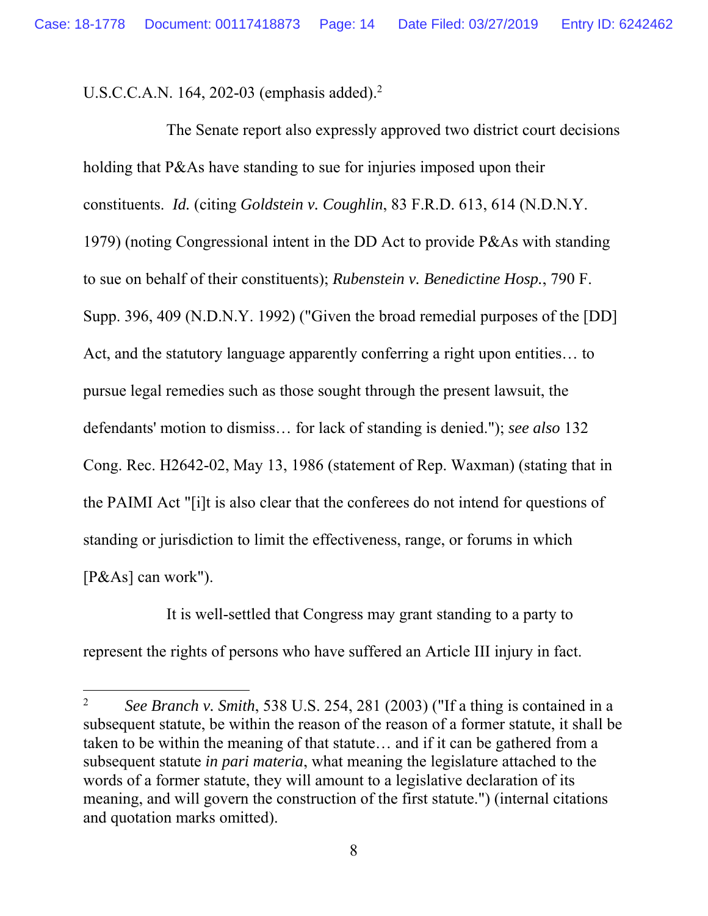U.S.C.C.A.N. 164, 202-03 (emphasis added).<sup>2</sup>

The Senate report also expressly approved two district court decisions holding that P&As have standing to sue for injuries imposed upon their constituents. *Id.* (citing *Goldstein v. Coughlin*, 83 F.R.D. 613, 614 (N.D.N.Y. 1979) (noting Congressional intent in the DD Act to provide P&As with standing to sue on behalf of their constituents); *Rubenstein v. Benedictine Hosp.*, 790 F. Supp. 396, 409 (N.D.N.Y. 1992) ("Given the broad remedial purposes of the [DD] Act, and the statutory language apparently conferring a right upon entities… to pursue legal remedies such as those sought through the present lawsuit, the defendants' motion to dismiss… for lack of standing is denied."); *see also* 132 Cong. Rec. H2642-02, May 13, 1986 (statement of Rep. Waxman) (stating that in the PAIMI Act "[i]t is also clear that the conferees do not intend for questions of standing or jurisdiction to limit the effectiveness, range, or forums in which [P&As] can work").

It is well-settled that Congress may grant standing to a party to represent the rights of persons who have suffered an Article III injury in fact.

 $\overline{\phantom{a}}$ 

<sup>2</sup> *See Branch v. Smith*, 538 U.S. 254, 281 (2003) ("If a thing is contained in a subsequent statute, be within the reason of the reason of a former statute, it shall be taken to be within the meaning of that statute… and if it can be gathered from a subsequent statute *in pari materia*, what meaning the legislature attached to the words of a former statute, they will amount to a legislative declaration of its meaning, and will govern the construction of the first statute.") (internal citations and quotation marks omitted).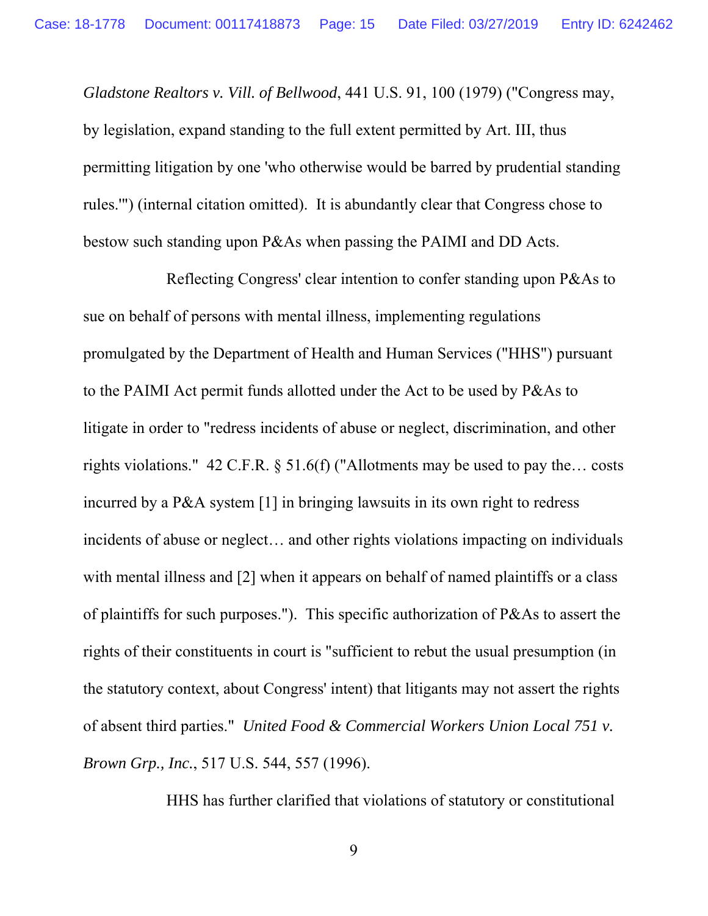*Gladstone Realtors v. Vill. of Bellwood*, 441 U.S. 91, 100 (1979) ("Congress may, by legislation, expand standing to the full extent permitted by Art. III, thus permitting litigation by one 'who otherwise would be barred by prudential standing rules.'") (internal citation omitted). It is abundantly clear that Congress chose to bestow such standing upon P&As when passing the PAIMI and DD Acts.

Reflecting Congress' clear intention to confer standing upon P&As to sue on behalf of persons with mental illness, implementing regulations promulgated by the Department of Health and Human Services ("HHS") pursuant to the PAIMI Act permit funds allotted under the Act to be used by P&As to litigate in order to "redress incidents of abuse or neglect, discrimination, and other rights violations." 42 C.F.R. § 51.6(f) ("Allotments may be used to pay the… costs incurred by a P&A system [1] in bringing lawsuits in its own right to redress incidents of abuse or neglect… and other rights violations impacting on individuals with mental illness and [2] when it appears on behalf of named plaintiffs or a class of plaintiffs for such purposes."). This specific authorization of P&As to assert the rights of their constituents in court is "sufficient to rebut the usual presumption (in the statutory context, about Congress' intent) that litigants may not assert the rights of absent third parties." *United Food & Commercial Workers Union Local 751 v. Brown Grp., Inc.*, 517 U.S. 544, 557 (1996).

HHS has further clarified that violations of statutory or constitutional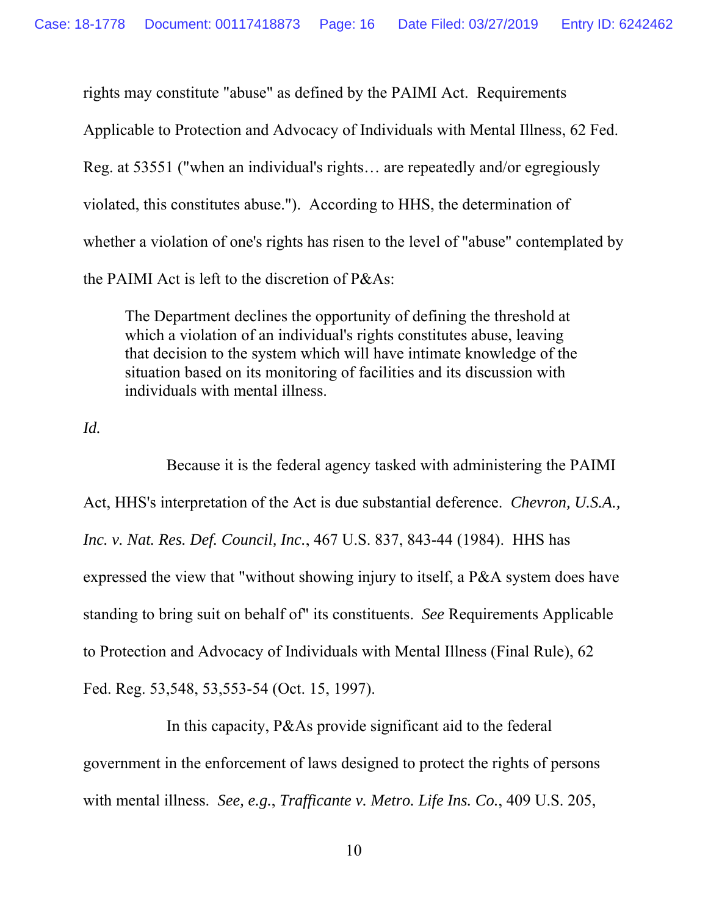rights may constitute "abuse" as defined by the PAIMI Act. Requirements Applicable to Protection and Advocacy of Individuals with Mental Illness, 62 Fed. Reg. at 53551 ("when an individual's rights… are repeatedly and/or egregiously violated, this constitutes abuse."). According to HHS, the determination of whether a violation of one's rights has risen to the level of "abuse" contemplated by the PAIMI Act is left to the discretion of P&As:

The Department declines the opportunity of defining the threshold at which a violation of an individual's rights constitutes abuse, leaving that decision to the system which will have intimate knowledge of the situation based on its monitoring of facilities and its discussion with individuals with mental illness.

*Id.* 

Because it is the federal agency tasked with administering the PAIMI Act, HHS's interpretation of the Act is due substantial deference. *Chevron, U.S.A., Inc. v. Nat. Res. Def. Council, Inc.*, 467 U.S. 837, 843-44 (1984). HHS has expressed the view that "without showing injury to itself, a P&A system does have standing to bring suit on behalf of" its constituents. *See* Requirements Applicable to Protection and Advocacy of Individuals with Mental Illness (Final Rule), 62 Fed. Reg. 53,548, 53,553-54 (Oct. 15, 1997).

In this capacity, P&As provide significant aid to the federal government in the enforcement of laws designed to protect the rights of persons with mental illness. *See, e.g.*, *Trafficante v. Metro. Life Ins. Co.*, 409 U.S. 205,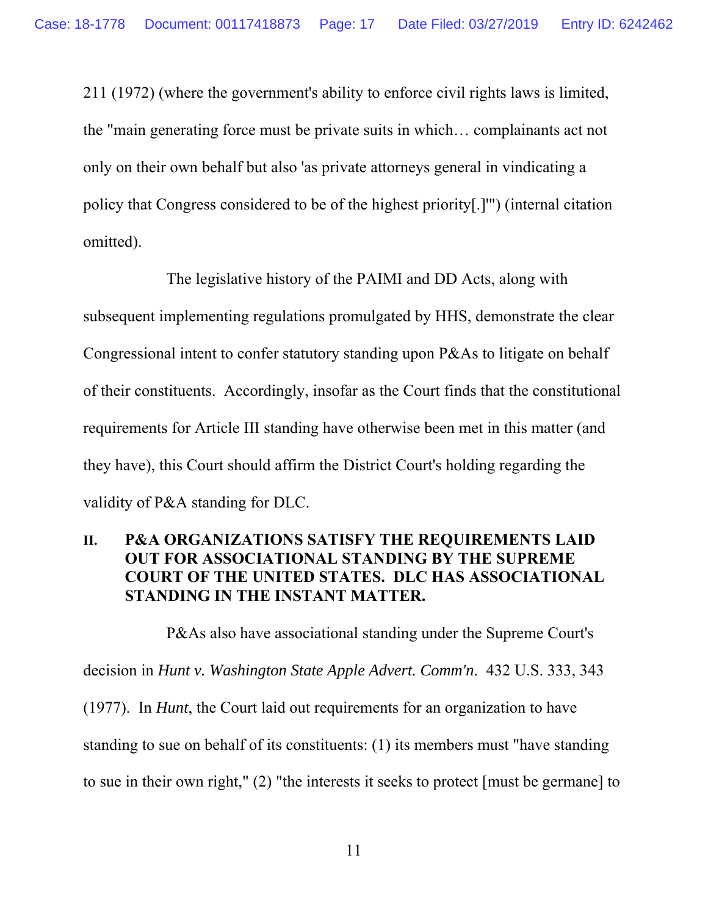211 (1972) (where the government's ability to enforce civil rights laws is limited, the "main generating force must be private suits in which… complainants act not only on their own behalf but also 'as private attorneys general in vindicating a policy that Congress considered to be of the highest priority[.]'") (internal citation omitted).

The legislative history of the PAIMI and DD Acts, along with subsequent implementing regulations promulgated by HHS, demonstrate the clear Congressional intent to confer statutory standing upon P&As to litigate on behalf of their constituents. Accordingly, insofar as the Court finds that the constitutional requirements for Article III standing have otherwise been met in this matter (and they have), this Court should affirm the District Court's holding regarding the validity of P&A standing for DLC.

## **II. P&A ORGANIZATIONS SATISFY THE REQUIREMENTS LAID OUT FOR ASSOCIATIONAL STANDING BY THE SUPREME COURT OF THE UNITED STATES. DLC HAS ASSOCIATIONAL STANDING IN THE INSTANT MATTER.**

P&As also have associational standing under the Supreme Court's decision in *Hunt v. Washington State Apple Advert. Comm'n*. 432 U.S. 333, 343 (1977). In *Hunt*, the Court laid out requirements for an organization to have standing to sue on behalf of its constituents: (1) its members must "have standing to sue in their own right," (2) "the interests it seeks to protect [must be germane] to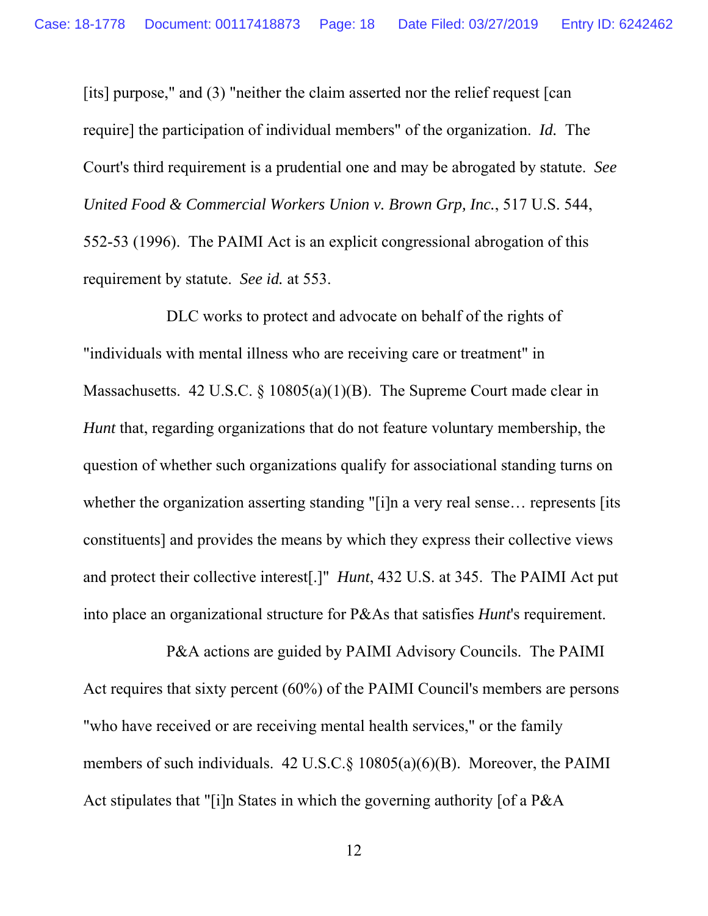[its] purpose," and (3) "neither the claim asserted nor the relief request [can require] the participation of individual members" of the organization. *Id.* The Court's third requirement is a prudential one and may be abrogated by statute. *See United Food & Commercial Workers Union v. Brown Grp, Inc.*, 517 U.S. 544, 552-53 (1996). The PAIMI Act is an explicit congressional abrogation of this requirement by statute. *See id.* at 553.

DLC works to protect and advocate on behalf of the rights of "individuals with mental illness who are receiving care or treatment" in Massachusetts. 42 U.S.C. § 10805(a)(1)(B). The Supreme Court made clear in *Hunt* that, regarding organizations that do not feature voluntary membership, the question of whether such organizations qualify for associational standing turns on whether the organization asserting standing "[i]n a very real sense... represents [its] constituents] and provides the means by which they express their collective views and protect their collective interest[.]" *Hunt*, 432 U.S. at 345. The PAIMI Act put into place an organizational structure for P&As that satisfies *Hunt*'s requirement.

P&A actions are guided by PAIMI Advisory Councils. The PAIMI Act requires that sixty percent (60%) of the PAIMI Council's members are persons "who have received or are receiving mental health services," or the family members of such individuals. 42 U.S.C. § 10805(a)(6)(B). Moreover, the PAIMI Act stipulates that "[i]n States in which the governing authority [of a P&A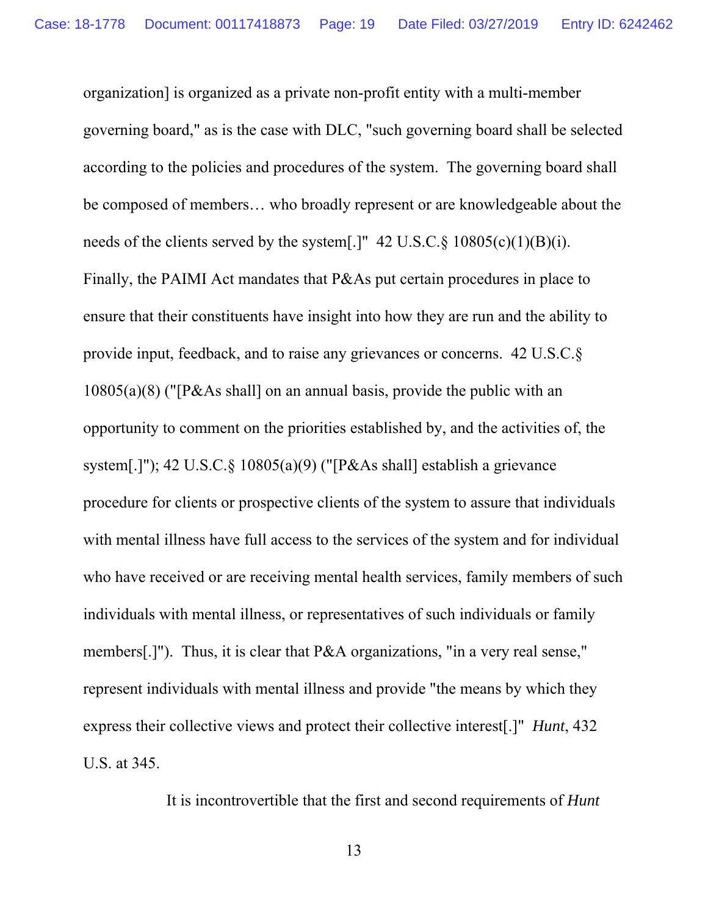organization] is organized as a private non-profit entity with a multi-member governing board," as is the case with DLC, "such governing board shall be selected according to the policies and procedures of the system. The governing board shall be composed of members… who broadly represent or are knowledgeable about the needs of the clients served by the system[.]"  $42 \text{ U.S.C.}$  §  $10805(c)(1)(B)(i)$ . Finally, the PAIMI Act mandates that P&As put certain procedures in place to ensure that their constituents have insight into how they are run and the ability to provide input, feedback, and to raise any grievances or concerns. 42 U.S.C.§ 10805(a)(8) ("[P&As shall] on an annual basis, provide the public with an opportunity to comment on the priorities established by, and the activities of, the system[.]"); 42 U.S.C.§ 10805(a)(9) ("[P&As shall] establish a grievance procedure for clients or prospective clients of the system to assure that individuals with mental illness have full access to the services of the system and for individual who have received or are receiving mental health services, family members of such individuals with mental illness, or representatives of such individuals or family members[.]"). Thus, it is clear that P&A organizations, "in a very real sense," represent individuals with mental illness and provide "the means by which they express their collective views and protect their collective interest[.]" *Hunt*, 432 U.S. at 345.

It is incontrovertible that the first and second requirements of *Hunt*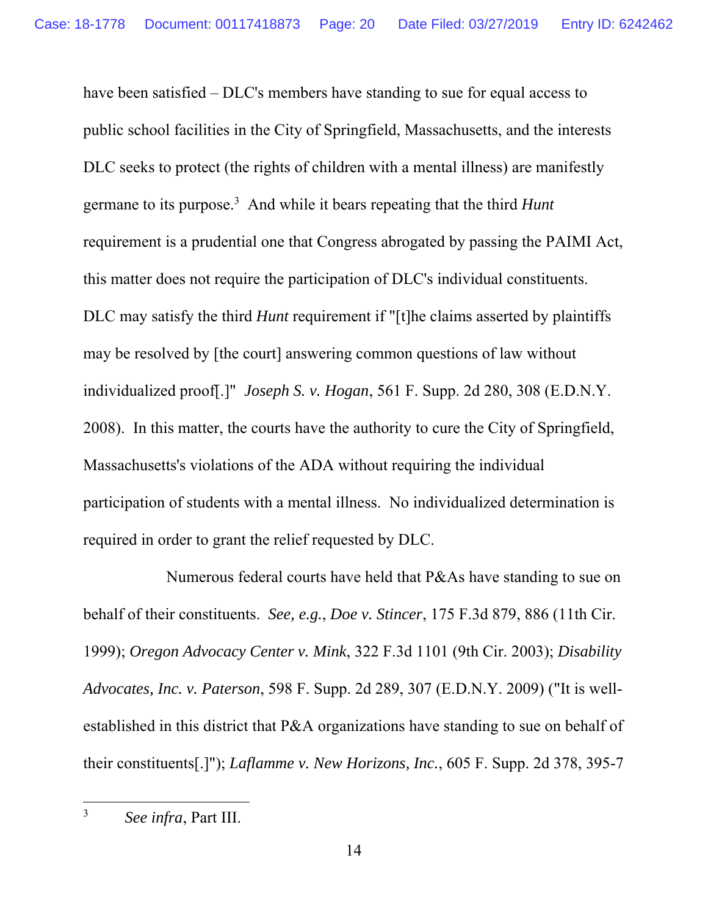have been satisfied – DLC's members have standing to sue for equal access to public school facilities in the City of Springfield, Massachusetts, and the interests DLC seeks to protect (the rights of children with a mental illness) are manifestly germane to its purpose.3 And while it bears repeating that the third *Hunt*  requirement is a prudential one that Congress abrogated by passing the PAIMI Act, this matter does not require the participation of DLC's individual constituents. DLC may satisfy the third *Hunt* requirement if "[t]he claims asserted by plaintiffs may be resolved by [the court] answering common questions of law without individualized proof[.]" *Joseph S. v. Hogan*, 561 F. Supp. 2d 280, 308 (E.D.N.Y. 2008). In this matter, the courts have the authority to cure the City of Springfield, Massachusetts's violations of the ADA without requiring the individual participation of students with a mental illness. No individualized determination is required in order to grant the relief requested by DLC.

Numerous federal courts have held that P&As have standing to sue on behalf of their constituents. *See, e.g.*, *Doe v. Stincer*, 175 F.3d 879, 886 (11th Cir. 1999); *Oregon Advocacy Center v. Mink*, 322 F.3d 1101 (9th Cir. 2003); *Disability Advocates, Inc. v. Paterson*, 598 F. Supp. 2d 289, 307 (E.D.N.Y. 2009) ("It is wellestablished in this district that P&A organizations have standing to sue on behalf of their constituents[.]"); *Laflamme v. New Horizons, Inc.*, 605 F. Supp. 2d 378, 395-7

l

<sup>3</sup> *See infra*, Part III.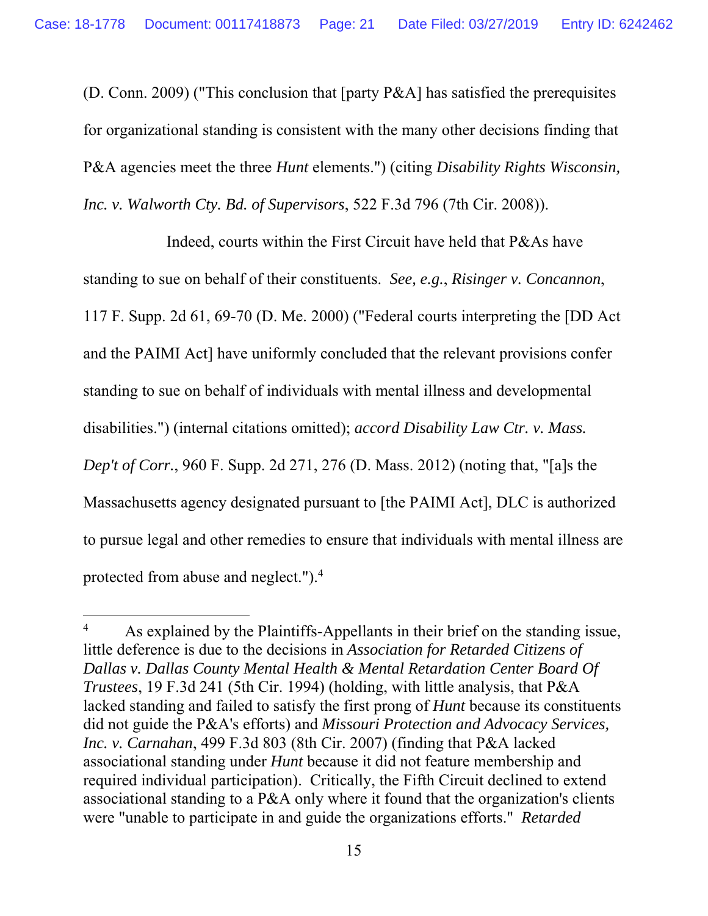(D. Conn. 2009) ("This conclusion that [party P&A] has satisfied the prerequisites for organizational standing is consistent with the many other decisions finding that P&A agencies meet the three *Hunt* elements.") (citing *Disability Rights Wisconsin, Inc. v. Walworth Cty. Bd. of Supervisors*, 522 F.3d 796 (7th Cir. 2008)).

Indeed, courts within the First Circuit have held that P&As have standing to sue on behalf of their constituents. *See, e.g.*, *Risinger v. Concannon*, 117 F. Supp. 2d 61, 69-70 (D. Me. 2000) ("Federal courts interpreting the [DD Act and the PAIMI Act] have uniformly concluded that the relevant provisions confer standing to sue on behalf of individuals with mental illness and developmental disabilities.") (internal citations omitted); *accord Disability Law Ctr. v. Mass. Dep't of Corr.*, 960 F. Supp. 2d 271, 276 (D. Mass. 2012) (noting that, "[a]s the Massachusetts agency designated pursuant to [the PAIMI Act], DLC is authorized to pursue legal and other remedies to ensure that individuals with mental illness are protected from abuse and neglect.").<sup>4</sup>

l

<sup>4</sup> As explained by the Plaintiffs-Appellants in their brief on the standing issue, little deference is due to the decisions in *Association for Retarded Citizens of Dallas v. Dallas County Mental Health & Mental Retardation Center Board Of Trustees*, 19 F.3d 241 (5th Cir. 1994) (holding, with little analysis, that P&A lacked standing and failed to satisfy the first prong of *Hunt* because its constituents did not guide the P&A's efforts) and *Missouri Protection and Advocacy Services, Inc. v. Carnahan*, 499 F.3d 803 (8th Cir. 2007) (finding that P&A lacked associational standing under *Hunt* because it did not feature membership and required individual participation). Critically, the Fifth Circuit declined to extend associational standing to a P&A only where it found that the organization's clients were "unable to participate in and guide the organizations efforts." *Retarded*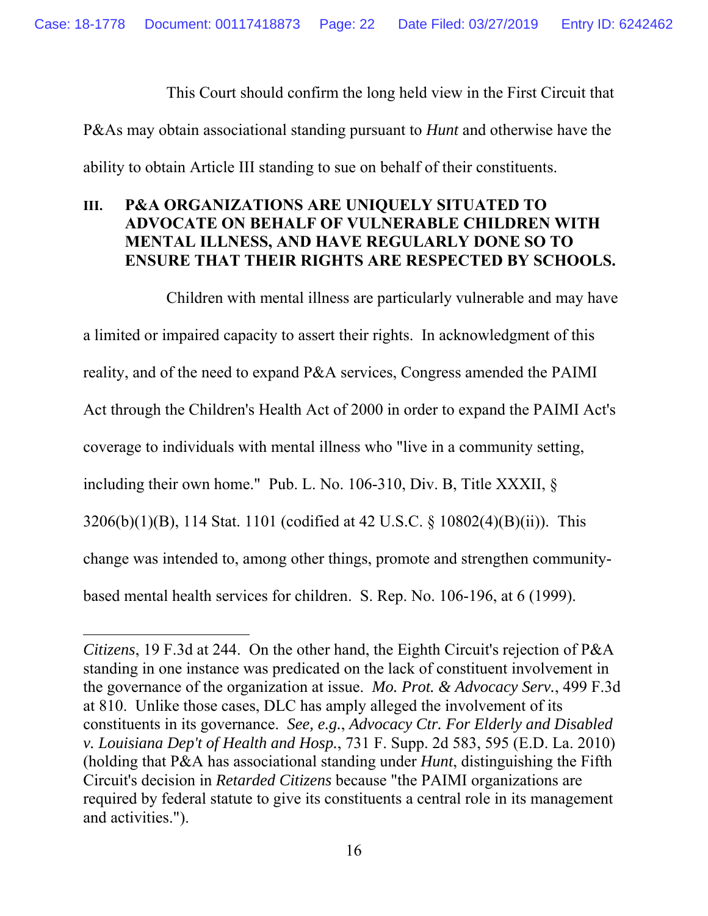This Court should confirm the long held view in the First Circuit that P&As may obtain associational standing pursuant to *Hunt* and otherwise have the ability to obtain Article III standing to sue on behalf of their constituents.

# **III. P&A ORGANIZATIONS ARE UNIQUELY SITUATED TO ADVOCATE ON BEHALF OF VULNERABLE CHILDREN WITH MENTAL ILLNESS, AND HAVE REGULARLY DONE SO TO ENSURE THAT THEIR RIGHTS ARE RESPECTED BY SCHOOLS.**

Children with mental illness are particularly vulnerable and may have a limited or impaired capacity to assert their rights. In acknowledgment of this reality, and of the need to expand P&A services, Congress amended the PAIMI Act through the Children's Health Act of 2000 in order to expand the PAIMI Act's coverage to individuals with mental illness who "live in a community setting, including their own home." Pub. L. No. 106-310, Div. B, Title XXXII, § 3206(b)(1)(B), 114 Stat. 1101 (codified at 42 U.S.C. § 10802(4)(B)(ii)). This change was intended to, among other things, promote and strengthen communitybased mental health services for children. S. Rep. No. 106-196, at 6 (1999).

l

*Citizens*, 19 F.3d at 244. On the other hand, the Eighth Circuit's rejection of P&A standing in one instance was predicated on the lack of constituent involvement in the governance of the organization at issue. *Mo. Prot. & Advocacy Serv.*, 499 F.3d at 810. Unlike those cases, DLC has amply alleged the involvement of its constituents in its governance. *See, e.g.*, *Advocacy Ctr. For Elderly and Disabled v. Louisiana Dep't of Health and Hosp.*, 731 F. Supp. 2d 583, 595 (E.D. La. 2010) (holding that P&A has associational standing under *Hunt*, distinguishing the Fifth Circuit's decision in *Retarded Citizens* because "the PAIMI organizations are required by federal statute to give its constituents a central role in its management and activities.").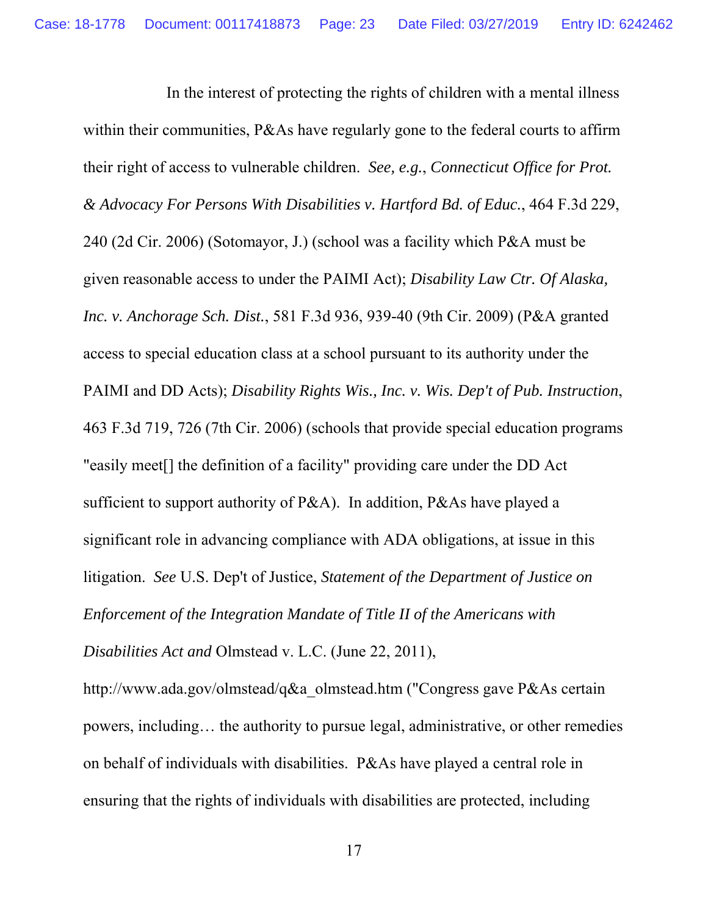In the interest of protecting the rights of children with a mental illness within their communities, P&As have regularly gone to the federal courts to affirm their right of access to vulnerable children. *See, e.g.*, *Connecticut Office for Prot. & Advocacy For Persons With Disabilities v. Hartford Bd. of Educ.*, 464 F.3d 229, 240 (2d Cir. 2006) (Sotomayor, J.) (school was a facility which P&A must be given reasonable access to under the PAIMI Act); *Disability Law Ctr. Of Alaska, Inc. v. Anchorage Sch. Dist.*, 581 F.3d 936, 939-40 (9th Cir. 2009) (P&A granted access to special education class at a school pursuant to its authority under the PAIMI and DD Acts); *Disability Rights Wis., Inc. v. Wis. Dep't of Pub. Instruction*, 463 F.3d 719, 726 (7th Cir. 2006) (schools that provide special education programs "easily meet[] the definition of a facility" providing care under the DD Act sufficient to support authority of P&A). In addition, P&As have played a significant role in advancing compliance with ADA obligations, at issue in this litigation. *See* U.S. Dep't of Justice, *Statement of the Department of Justice on Enforcement of the Integration Mandate of Title II of the Americans with* 

*Disabilities Act and* Olmstead v. L.C. (June 22, 2011),

http://www.ada.gov/olmstead/q&a\_olmstead.htm ("Congress gave P&As certain powers, including… the authority to pursue legal, administrative, or other remedies on behalf of individuals with disabilities. P&As have played a central role in ensuring that the rights of individuals with disabilities are protected, including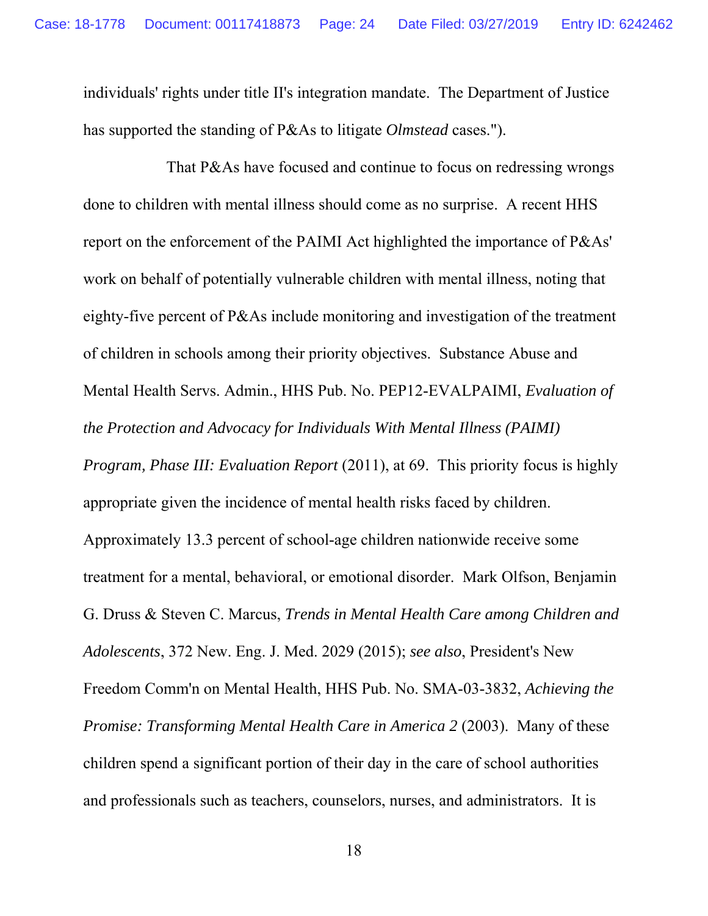individuals' rights under title II's integration mandate. The Department of Justice has supported the standing of P&As to litigate *Olmstead* cases.").

That P&As have focused and continue to focus on redressing wrongs done to children with mental illness should come as no surprise. A recent HHS report on the enforcement of the PAIMI Act highlighted the importance of P&As' work on behalf of potentially vulnerable children with mental illness, noting that eighty-five percent of P&As include monitoring and investigation of the treatment of children in schools among their priority objectives. Substance Abuse and Mental Health Servs. Admin., HHS Pub. No. PEP12-EVALPAIMI, *Evaluation of the Protection and Advocacy for Individuals With Mental Illness (PAIMI)* 

*Program, Phase III: Evaluation Report* (2011), at 69. This priority focus is highly appropriate given the incidence of mental health risks faced by children.

Approximately 13.3 percent of school-age children nationwide receive some treatment for a mental, behavioral, or emotional disorder. Mark Olfson, Benjamin G. Druss & Steven C. Marcus, *Trends in Mental Health Care among Children and Adolescents*, 372 New. Eng. J. Med. 2029 (2015); *see also*, President's New Freedom Comm'n on Mental Health, HHS Pub. No. SMA-03-3832, *Achieving the Promise: Transforming Mental Health Care in America 2* (2003). Many of these children spend a significant portion of their day in the care of school authorities and professionals such as teachers, counselors, nurses, and administrators. It is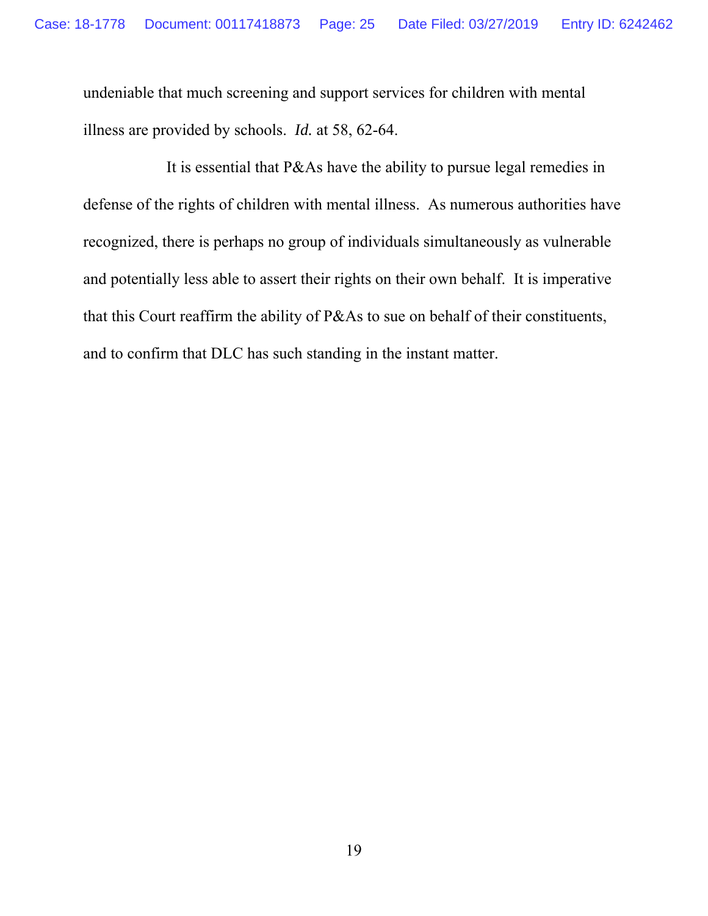undeniable that much screening and support services for children with mental illness are provided by schools. *Id.* at 58, 62-64.

It is essential that P&As have the ability to pursue legal remedies in defense of the rights of children with mental illness. As numerous authorities have recognized, there is perhaps no group of individuals simultaneously as vulnerable and potentially less able to assert their rights on their own behalf. It is imperative that this Court reaffirm the ability of P&As to sue on behalf of their constituents, and to confirm that DLC has such standing in the instant matter.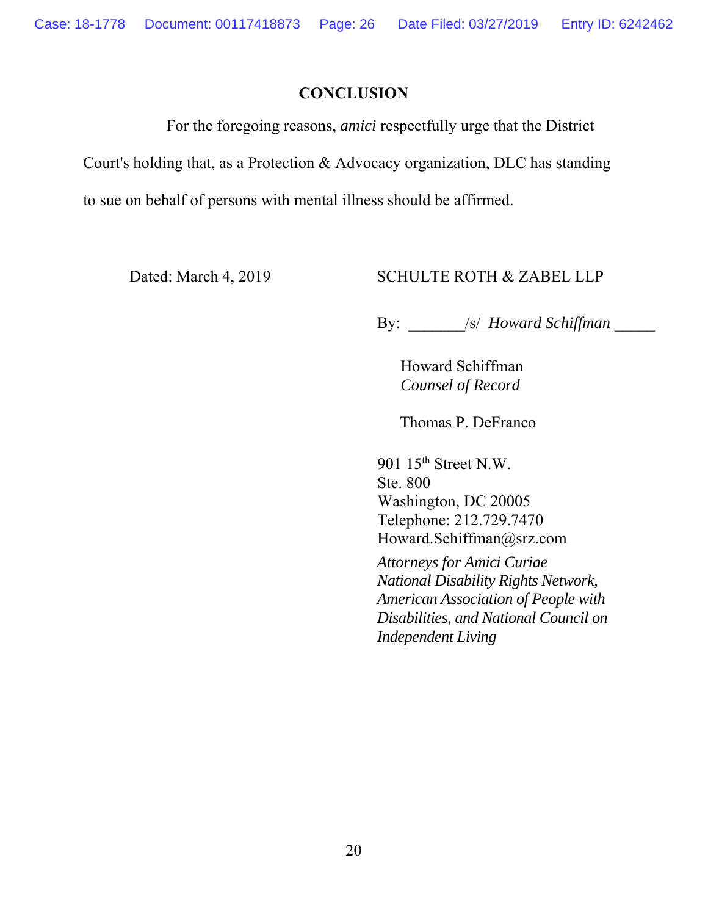# **CONCLUSION**

For the foregoing reasons, *amici* respectfully urge that the District

Court's holding that, as a Protection & Advocacy organization, DLC has standing

to sue on behalf of persons with mental illness should be affirmed.

# Dated: March 4, 2019 SCHULTE ROTH & ZABEL LLP

By: \_\_\_\_\_\_\_/s/ *Howard Schiffman* \_\_\_\_\_

 Howard Schiffman *Counsel of Record* 

Thomas P. DeFranco

901 15<sup>th</sup> Street N.W. Ste. 800 Washington, DC 20005 Telephone: 212.729.7470 Howard.Schiffman@srz.com

 *Attorneys for Amici Curiae National Disability Rights Network, American Association of People with Disabilities, and National Council on Independent Living*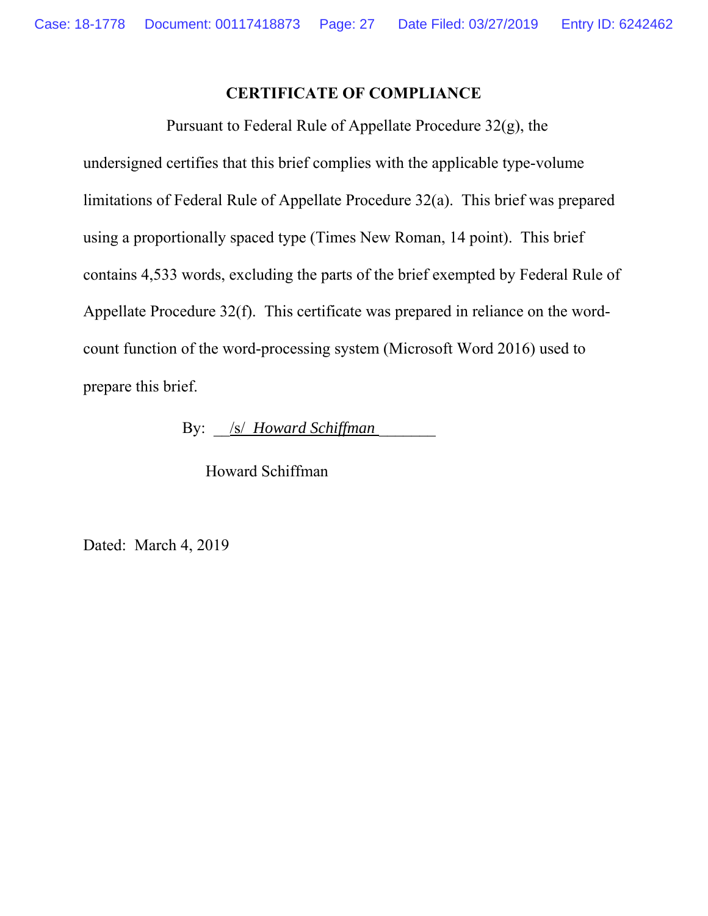## **CERTIFICATE OF COMPLIANCE**

Pursuant to Federal Rule of Appellate Procedure 32(g), the undersigned certifies that this brief complies with the applicable type-volume limitations of Federal Rule of Appellate Procedure 32(a). This brief was prepared using a proportionally spaced type (Times New Roman, 14 point). This brief contains 4,533 words, excluding the parts of the brief exempted by Federal Rule of Appellate Procedure 32(f). This certificate was prepared in reliance on the wordcount function of the word-processing system (Microsoft Word 2016) used to prepare this brief.

By: */s/ <i>Howard Schiffman* 

Howard Schiffman

Dated: March 4, 2019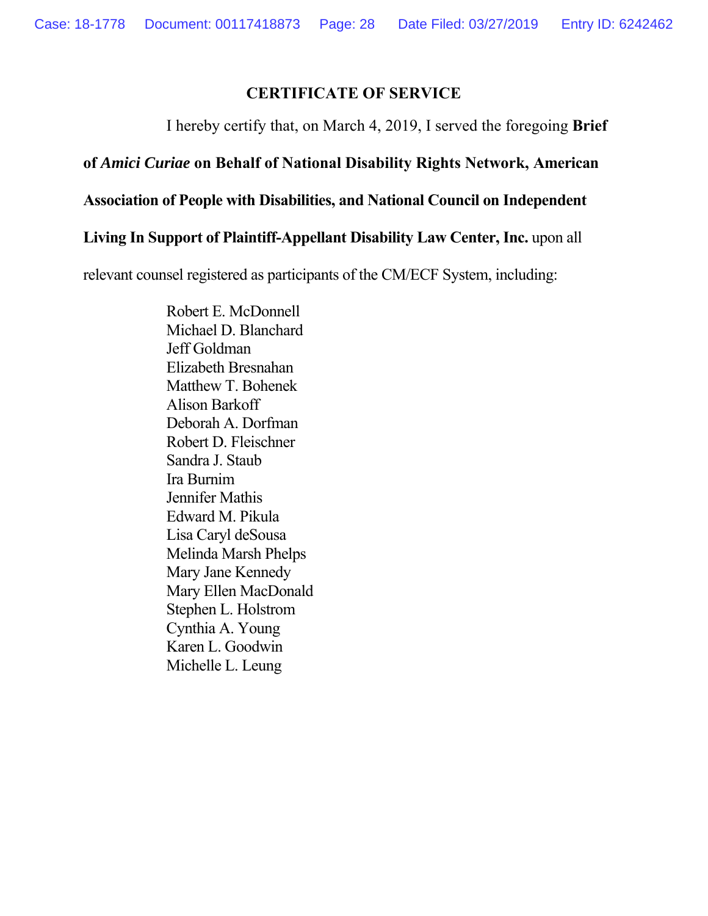## **CERTIFICATE OF SERVICE**

I hereby certify that, on March 4, 2019, I served the foregoing **Brief** 

# **of** *Amici Curiae* **on Behalf of National Disability Rights Network, American**

### **Association of People with Disabilities, and National Council on Independent**

### **Living In Support of Plaintiff-Appellant Disability Law Center, Inc.** upon all

relevant counsel registered as participants of the CM/ECF System, including:

Robert E. McDonnell Michael D. Blanchard Jeff Goldman Elizabeth Bresnahan Matthew T. Bohenek Alison Barkoff Deborah A. Dorfman Robert D. Fleischner Sandra J. Staub Ira Burnim Jennifer Mathis Edward M. Pikula Lisa Caryl deSousa Melinda Marsh Phelps Mary Jane Kennedy Mary Ellen MacDonald Stephen L. Holstrom Cynthia A. Young Karen L. Goodwin Michelle L. Leung